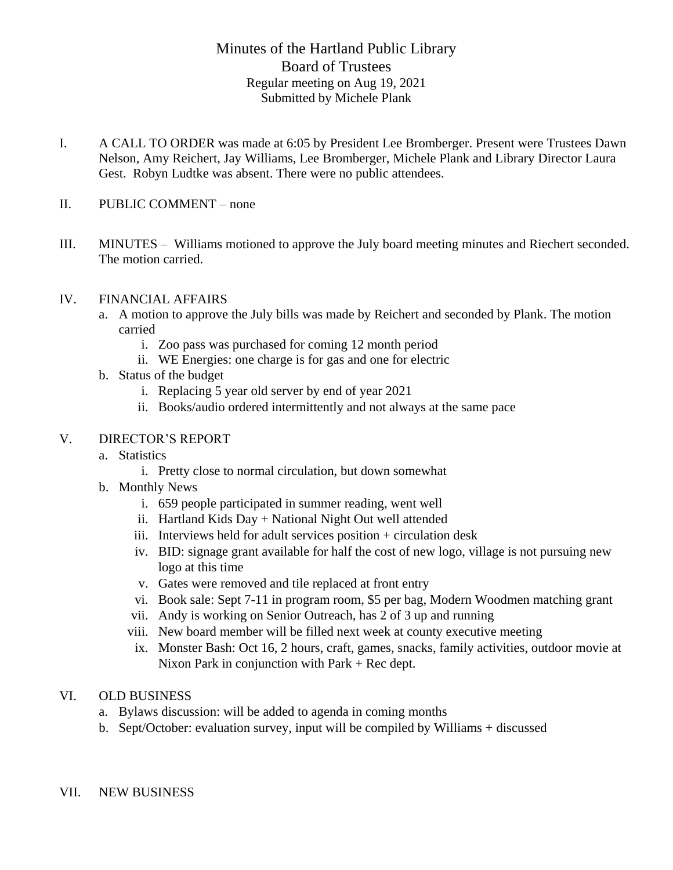## Minutes of the Hartland Public Library Board of Trustees Regular meeting on Aug 19, 2021 Submitted by Michele Plank

- I. A CALL TO ORDER was made at 6:05 by President Lee Bromberger. Present were Trustees Dawn Nelson, Amy Reichert, Jay Williams, Lee Bromberger, Michele Plank and Library Director Laura Gest. Robyn Ludtke was absent. There were no public attendees.
- II. PUBLIC COMMENT none
- III. MINUTES Williams motioned to approve the July board meeting minutes and Riechert seconded. The motion carried.

## IV. FINANCIAL AFFAIRS

- a. A motion to approve the July bills was made by Reichert and seconded by Plank. The motion carried
	- i. Zoo pass was purchased for coming 12 month period
	- ii. WE Energies: one charge is for gas and one for electric
- b. Status of the budget
	- i. Replacing 5 year old server by end of year 2021
	- ii. Books/audio ordered intermittently and not always at the same pace

## V. DIRECTOR'S REPORT

- a. Statistics
	- i. Pretty close to normal circulation, but down somewhat
- b. Monthly News
	- i. 659 people participated in summer reading, went well
	- ii. Hartland Kids Day + National Night Out well attended
	- iii. Interviews held for adult services position + circulation desk
	- iv. BID: signage grant available for half the cost of new logo, village is not pursuing new logo at this time
	- v. Gates were removed and tile replaced at front entry
	- vi. Book sale: Sept 7-11 in program room, \$5 per bag, Modern Woodmen matching grant
	- vii. Andy is working on Senior Outreach, has 2 of 3 up and running
	- viii. New board member will be filled next week at county executive meeting
	- ix. Monster Bash: Oct 16, 2 hours, craft, games, snacks, family activities, outdoor movie at Nixon Park in conjunction with Park + Rec dept.

## VI. OLD BUSINESS

- a. Bylaws discussion: will be added to agenda in coming months
- b. Sept/October: evaluation survey, input will be compiled by Williams + discussed
- VII. NEW BUSINESS